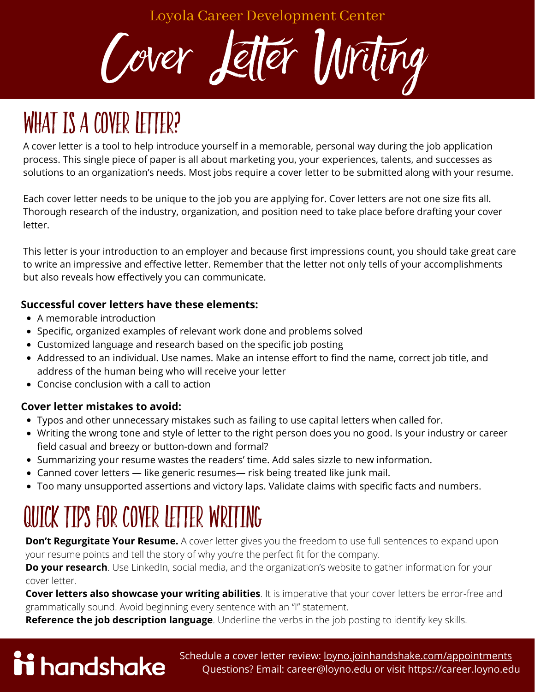Loyola Career Development Center



# WHAT IS A COVER LETTER?

A cover letter is a tool to help introduce yourself in a memorable, personal way during the job application process. This single piece of paper is all about marketing you, your experiences, talents, and successes as solutions to an organization's needs. Most jobs require a cover letter to be submitted along with your resume.

Each cover letter needs to be unique to the job you are applying for. Cover letters are not one size fits all. Thorough research of the industry, organization, and position need to take place before drafting your cover letter.

This letter is your introduction to an employer and because first impressions count, you should take great care to write an impressive and effective letter. Remember that the letter not only tells of your accomplishments but also reveals how effectively you can communicate.

#### **Successful cover letters have these elements:**

- A memorable introduction
- Specific, organized examples of relevant work done and problems solved
- Customized language and research based on the specific job posting
- Addressed to an individual. Use names. Make an intense effort to find the name, correct job title, and address of the human being who will receive your letter
- Concise conclusion with a call to action

#### **Cover letter mistakes to avoid:**

- Typos and other unnecessary mistakes such as failing to use capital letters when called for.
- Writing the wrong tone and style of letter to the right person does you no good. Is your industry or career field casual and breezy or button-down and formal?
- Summarizing your resume wastes the readers' time. Add sales sizzle to new information.
- Canned cover letters like generic resumes— risk being treated like junk mail.
- Too many unsupported assertions and victory laps. Validate claims with specific facts and numbers.

## quick tips for Cover Letter Writing

**Don't Regurgitate Your Resume.** A cover letter gives you the freedom to use full sentences to expand upon your resume points and tell the story of why you're the perfect fit for the company.

**Do your research**. Use LinkedIn, social media, and the organization's website to gather information for your cover letter.

**Cover letters also showcase your writing abilities**. It is imperative that your cover letters be error-free and grammatically sound. Avoid beginning every sentence with an "I" statement.

**Reference the job description language**. Underline the verbs in the job posting to identify key skills.

# ii handshake

Schedule a cover letter review: [loyno.joinhandshake.com/appointments](http://loyno.joinhandshake.com/appointments) Questions? Email: career@loyno.edu or visit https://career.loyno.edu